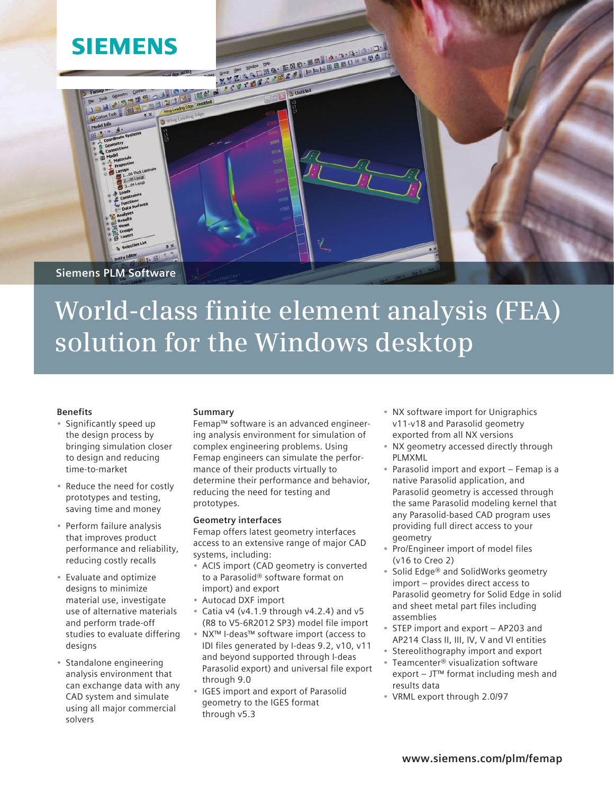

# **World-class finite element analysis (FEA) solution for the Windows desktop**

# **Benefits**

- Significantly speed up the design process by bringing simulation closer to design and reducing time-to-market
- • Reduce the need for costly prototypes and testing, saving time and money
- • Perform failure analysis that improves product performance and reliability, reducing costly recalls
- • Evaluate and optimize designs to minimize material use, investigate use of alternative materials and perform trade-off studies to evaluate differing designs
- • Standalone engineering analysis environment that can exchange data with any CAD system and simulate using all major commercial solvers

# **Summary**

Femap™ software is an advanced engineering analysis environment for simulation of complex engineering problems. Using Femap engineers can simulate the performance of their products virtually to determine their performance and behavior, reducing the need for testing and prototypes.

#### **Geometry interfaces**

Femap offers latest geometry interfaces access to an extensive range of major CAD systems, including:

- • ACIS import (CAD geometry is converted to a Parasolid® software format on import) and export
- • Autocad DXF import
- $\bullet$  Catia v4 (v4.1.9 through v4.2.4) and v5 (R8 to V5-6R2012 SP3) model file import
- NX™ I-deas™ software import (access to IDI files generated by I-deas 9.2, v10, v11 and beyond supported through I-deas Parasolid export) and universal file export through 9.0
- IGES import and export of Parasolid geometry to the IGES format through v5.3
- NX software import for Unigraphics v11-v18 and Parasolid geometry exported from all NX versions
- • NX geometry accessed directly through PLMXML
- Parasolid import and export Femap is a native Parasolid application, and Parasolid geometry is accessed through the same Parasolid modeling kernel that any Parasolid-based CAD program uses providing full direct access to your geometry
- Pro/Engineer import of model files (v16 to Creo 2)
- Solid Edge® and SolidWorks geometry import – provides direct access to Parasolid geometry for Solid Edge in solid and sheet metal part files including assemblies
- STEP import and export AP203 and AP214 Class II, III, IV, V and VI entities
- • Stereolithography import and export
- Teamcenter® visualization software export – JT™ format including mesh and results data
- • VRML export through 2.0/97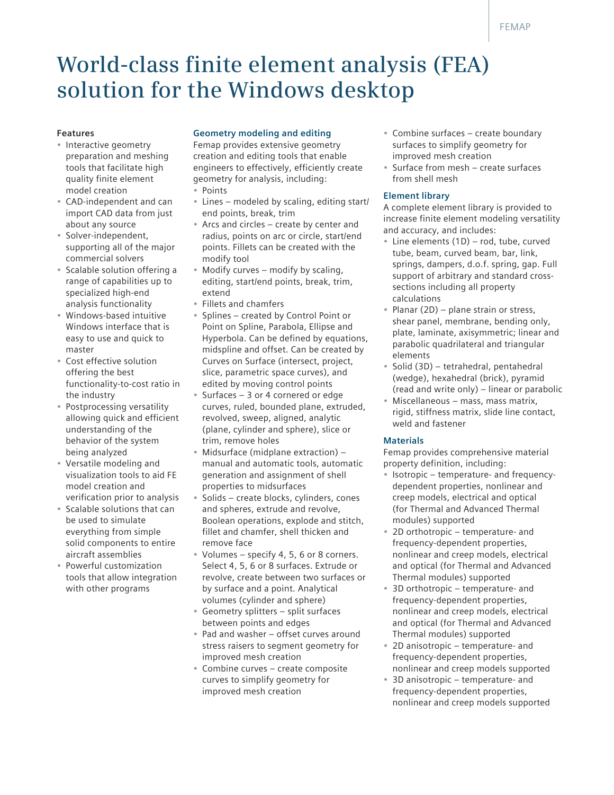# **World-class finite element analysis (FEA) solution for the Windows desktop**

#### **Features**

- Interactive geometry preparation and meshing tools that facilitate high quality finite element model creation
- CAD-independent and can import CAD data from just about any source
- Solver-independent, supporting all of the major commercial solvers
- Scalable solution offering a range of capabilities up to specialized high-end analysis functionality
- Windows-based intuitive Windows interface that is easy to use and quick to master
- Cost effective solution offering the best functionality-to-cost ratio in the industry
- Postprocessing versatility allowing quick and efficient understanding of the behavior of the system being analyzed
- Versatile modeling and visualization tools to aid FE model creation and verification prior to analysis
- Scalable solutions that can be used to simulate everything from simple solid components to entire aircraft assemblies
- Powerful customization tools that allow integration with other programs

# **Geometry modeling and editing**

Femap provides extensive geometry creation and editing tools that enable engineers to effectively, efficiently create geometry for analysis, including: **Points** 

- 
- Lines modeled by scaling, editing start/ end points, break, trim
- Arcs and circles create by center and radius, points on arc or circle, start/end points. Fillets can be created with the modify tool
- Modify curves modify by scaling, editing, start/end points, break, trim, extend
- • Fillets and chamfers
- • Splines created by Control Point or Point on Spline, Parabola, Ellipse and Hyperbola. Can be defined by equations, midspline and offset. Can be created by Curves on Surface (intersect, project, slice, parametric space curves), and edited by moving control points
- Surfaces  $-3$  or 4 cornered or edge curves, ruled, bounded plane, extruded, revolved, sweep, aligned, analytic (plane, cylinder and sphere), slice or trim, remove holes
- Midsurface (midplane extraction)  $$ manual and automatic tools, automatic generation and assignment of shell properties to midsurfaces
- Solids create blocks, cylinders, cones and spheres, extrude and revolve, Boolean operations, explode and stitch, fillet and chamfer, shell thicken and remove face
- • Volumes specify 4, 5, 6 or 8 corners. Select 4, 5, 6 or 8 surfaces. Extrude or revolve, create between two surfaces or by surface and a point. Analytical volumes (cylinder and sphere)
- Geometry splitters  $-$  split surfaces between points and edges
- Pad and washer offset curves around stress raisers to segment geometry for improved mesh creation
- Combine curves create composite curves to simplify geometry for improved mesh creation
- Combine surfaces create boundary surfaces to simplify geometry for improved mesh creation
- Surface from mesh create surfaces from shell mesh

#### **Element library**

A complete element library is provided to increase finite element modeling versatility and accuracy, and includes:

- $\bullet$  Line elements (1D) rod, tube, curved tube, beam, curved beam, bar, link, springs, dampers, d.o.f. spring, gap. Full support of arbitrary and standard crosssections including all property calculations
- Planar (2D) plane strain or stress, shear panel, membrane, bending only, plate, laminate, axisymmetric; linear and parabolic quadrilateral and triangular elements
- • Solid (3D) tetrahedral, pentahedral (wedge), hexahedral (brick), pyramid (read and write only) – linear or parabolic
- Miscellaneous mass, mass matrix, rigid, stiffness matrix, slide line contact, weld and fastener

#### **Materials**

Femap provides comprehensive material property definition, including:

- Isotropic temperature- and frequencydependent properties, nonlinear and creep models, electrical and optical (for Thermal and Advanced Thermal modules) supported
- 2D orthotropic temperature- and frequency-dependent properties, nonlinear and creep models, electrical and optical (for Thermal and Advanced Thermal modules) supported
- 3D orthotropic temperature- and frequency-dependent properties, nonlinear and creep models, electrical and optical (for Thermal and Advanced Thermal modules) supported
- 2D anisotropic temperature- and frequency-dependent properties, nonlinear and creep models supported
- 3D anisotropic temperature- and frequency-dependent properties, nonlinear and creep models supported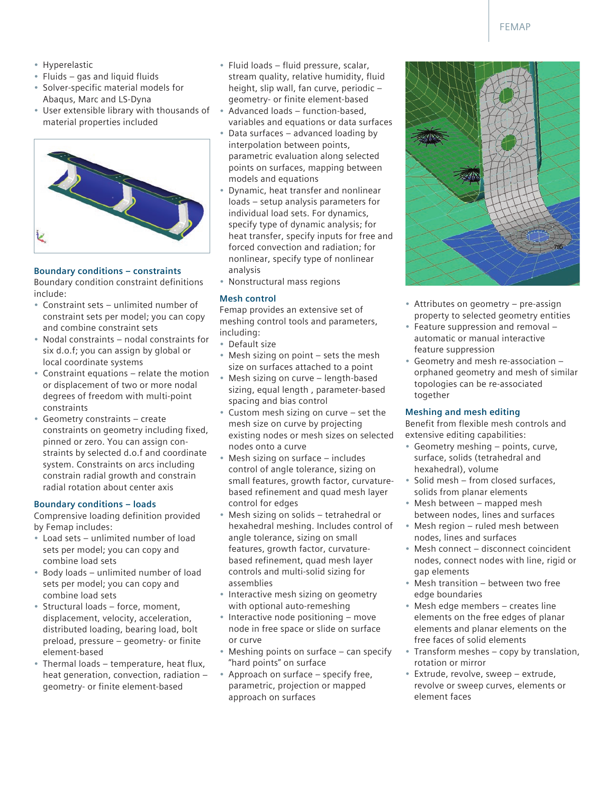- • Hyperelastic
- Fluids gas and liquid fluids
- • Solver-specific material models for Abaqus, Marc and LS-Dyna
- User extensible library with thousands of material properties included



# **Boundary conditions – constraints**

Boundary condition constraint definitions include:

- • Constraint sets unlimited number of constraint sets per model; you can copy and combine constraint sets
- Nodal constraints nodal constraints for six d.o.f; you can assign by global or local coordinate systems
- Constraint equations  $-$  relate the motion or displacement of two or more nodal degrees of freedom with multi-point constraints
- Geometry constraints create constraints on geometry including fixed, pinned or zero. You can assign constraints by selected d.o.f and coordinate system. Constraints on arcs including constrain radial growth and constrain radial rotation about center axis

#### **Boundary conditions – loads**

Comprensive loading definition provided by Femap includes:

- • Load sets unlimited number of load sets per model; you can copy and combine load sets
- • Body loads unlimited number of load sets per model; you can copy and combine load sets
- Structural loads force, moment, displacement, velocity, acceleration, distributed loading, bearing load, bolt preload, pressure – geometry- or finite element-based
- • Thermal loads temperature, heat flux, heat generation, convection, radiation – geometry- or finite element-based
- • Fluid loads fluid pressure, scalar, stream quality, relative humidity, fluid height, slip wall, fan curve, periodic – geometry- or finite element-based
- $Advanced$  loads function-based, variables and equations or data surfaces
- Data surfaces advanced loading by interpolation between points, parametric evaluation along selected points on surfaces, mapping between models and equations
- Dynamic, heat transfer and nonlinear loads – setup analysis parameters for individual load sets. For dynamics, specify type of dynamic analysis; for heat transfer, specify inputs for free and forced convection and radiation; for nonlinear, specify type of nonlinear analysis
- • Nonstructural mass regions

#### **Mesh control**

Femap provides an extensive set of meshing control tools and parameters, including:

- • Default size
- Mesh sizing on point sets the mesh size on surfaces attached to a point
- Mesh sizing on curve length-based sizing, equal length , parameter-based spacing and bias control
- Custom mesh sizing on curve  $-$  set the mesh size on curve by projecting existing nodes or mesh sizes on selected nodes onto a curve
- Mesh sizing on surface  $-$  includes control of angle tolerance, sizing on small features, growth factor, curvaturebased refinement and quad mesh layer control for edges
- Mesh sizing on solids tetrahedral or hexahedral meshing. Includes control of angle tolerance, sizing on small features, growth factor, curvaturebased refinement, quad mesh layer controls and multi-solid sizing for assemblies
- Interactive mesh sizing on geometry with optional auto-remeshing
- Interactive node positioning move node in free space or slide on surface or curve
- Meshing points on surface can specify "hard points" on surface
- Approach on surface specify free, parametric, projection or mapped approach on surfaces



- Attributes on geometry pre-assign property to selected geometry entities
- Feature suppression and removal automatic or manual interactive feature suppression
- Geometry and mesh re-association orphaned geometry and mesh of similar topologies can be re-associated together

#### **Meshing and mesh editing**

Benefit from flexible mesh controls and extensive editing capabilities:

- Geometry meshing points, curve, surface, solids (tetrahedral and hexahedral), volume
- Solid mesh from closed surfaces, solids from planar elements
- Mesh between mapped mesh between nodes, lines and surfaces
- Mesh region ruled mesh between nodes, lines and surfaces
- Mesh connect disconnect coincident nodes, connect nodes with line, rigid or gap elements
- Mesh transition  $-$  between two free edge boundaries
- Mesh edge members creates line elements on the free edges of planar elements and planar elements on the free faces of solid elements
- Transform meshes copy by translation, rotation or mirror
- • Extrude, revolve, sweep extrude, revolve or sweep curves, elements or element faces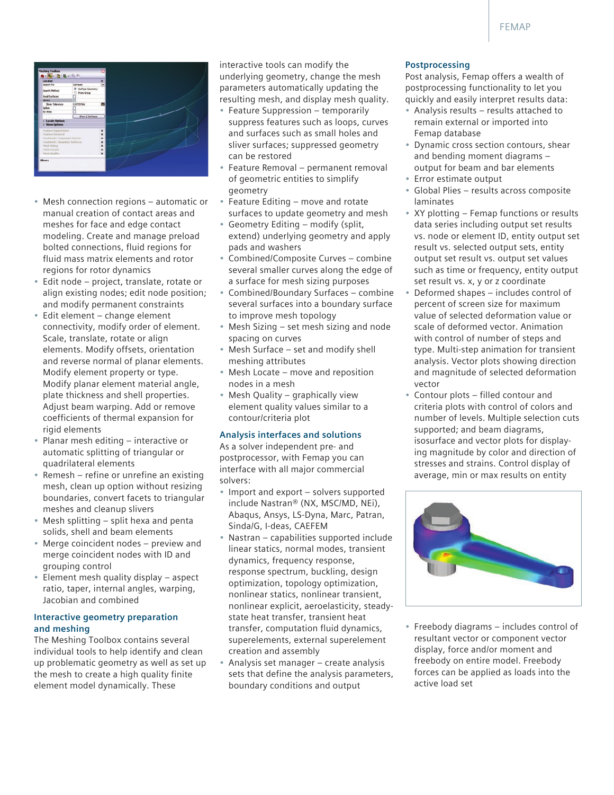

- Mesh connection regions automatic or manual creation of contact areas and meshes for face and edge contact modeling. Create and manage preload bolted connections, fluid regions for fluid mass matrix elements and rotor regions for rotor dynamics
- • Edit node project, translate, rotate or align existing nodes; edit node position; and modify permanent constraints
- • Edit element change element connectivity, modify order of element. Scale, translate, rotate or align elements. Modify offsets, orientation and reverse normal of planar elements. Modify element property or type. Modify planar element material angle, plate thickness and shell properties. Adjust beam warping. Add or remove coefficients of thermal expansion for rigid elements
- • Planar mesh editing interactive or automatic splitting of triangular or quadrilateral elements
- Remesh refine or unrefine an existing mesh, clean up option without resizing boundaries, convert facets to triangular meshes and cleanup slivers
- Mesh splitting split hexa and penta solids, shell and beam elements
- Merge coincident nodes preview and merge coincident nodes with ID and grouping control
- Element mesh quality display aspect ratio, taper, internal angles, warping, Jacobian and combined

#### **Interactive geometry preparation and meshing**

The Meshing Toolbox contains several individual tools to help identify and clean up problematic geometry as well as set up the mesh to create a high quality finite element model dynamically. These

interactive tools can modify the underlying geometry, change the mesh parameters automatically updating the resulting mesh, and display mesh quality.

- Feature Suppression temporarily suppress features such as loops, curves and surfaces such as small holes and sliver surfaces; suppressed geometry can be restored
- Feature Removal permanent removal of geometric entities to simplify geometry
- Feature Editing  $-$  move and rotate surfaces to update geometry and mesh
- • Geometry Editing modify (split, extend) underlying geometry and apply pads and washers
- • Combined/Composite Curves combine several smaller curves along the edge of a surface for mesh sizing purposes
- • Combined/Boundary Surfaces combine several surfaces into a boundary surface to improve mesh topology
- Mesh Sizing set mesh sizing and node spacing on curves
- Mesh Surface  $-$  set and modify shell meshing attributes
- Mesh Locate move and reposition nodes in a mesh
- Mesh Quality graphically view element quality values similar to a contour/criteria plot

# **Analysis interfaces and solutions**

As a solver independent pre- and postprocessor, with Femap you can interface with all major commercial solvers:

- Import and export solvers supported include Nastran® (NX, MSC/MD, NEi), Abaqus, Ansys, LS-Dyna, Marc, Patran, Sinda/G, I-deas, CAEFEM
- Nastran capabilities supported include linear statics, normal modes, transient dynamics, frequency response, response spectrum, buckling, design optimization, topology optimization, nonlinear statics, nonlinear transient, nonlinear explicit, aeroelasticity, steadystate heat transfer, transient heat transfer, computation fluid dynamics, superelements, external superelement creation and assembly
- Analysis set manager create analysis sets that define the analysis parameters, boundary conditions and output

#### **Postprocessing**

Post analysis, Femap offers a wealth of postprocessing functionality to let you quickly and easily interpret results data:

- Analysis results results attached to remain external or imported into Femap database
- • Dynamic cross section contours, shear and bending moment diagrams – output for beam and bar elements
- Error estimate output
- Global Plies results across composite laminates
- XY plotting Femap functions or results data series including output set results vs. node or element ID, entity output set result vs. selected output sets, entity output set result vs. output set values such as time or frequency, entity output set result vs. x, y or z coordinate
- Deformed shapes  $-$  includes control of percent of screen size for maximum value of selected deformation value or scale of deformed vector. Animation with control of number of steps and type. Multi-step animation for transient analysis. Vector plots showing direction and magnitude of selected deformation vector
- Contour plots filled contour and criteria plots with control of colors and number of levels. Multiple selection cuts supported; and beam diagrams, isosurface and vector plots for displaying magnitude by color and direction of stresses and strains. Control display of average, min or max results on entity



• Freebody diagrams – includes control of resultant vector or component vector display, force and/or moment and freebody on entire model. Freebody forces can be applied as loads into the active load set